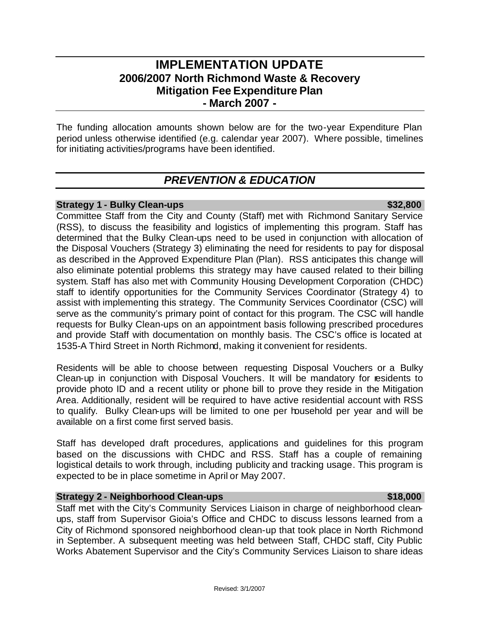# **IMPLEMENTATION UPDATE 2006/2007 North Richmond Waste & Recovery Mitigation Fee Expenditure Plan - March 2007 -**

The funding allocation amounts shown below are for the two-year Expenditure Plan period unless otherwise identified (e.g. calendar year 2007). Where possible, timelines for initiating activities/programs have been identified.

# *PREVENTION & EDUCATION*

## **Strategy 1 - Bulky Clean-ups \$32,800**

Committee Staff from the City and County (Staff) met with Richmond Sanitary Service (RSS), to discuss the feasibility and logistics of implementing this program. Staff has determined that the Bulky Clean-ups need to be used in conjunction with allocation of the Disposal Vouchers (Strategy 3) eliminating the need for residents to pay for disposal as described in the Approved Expenditure Plan (Plan). RSS anticipates this change will also eliminate potential problems this strategy may have caused related to their billing system. Staff has also met with Community Housing Development Corporation (CHDC) staff to identify opportunities for the Community Services Coordinator (Strategy 4) to assist with implementing this strategy. The Community Services Coordinator (CSC) will serve as the community's primary point of contact for this program. The CSC will handle requests for Bulky Clean-ups on an appointment basis following prescribed procedures and provide Staff with documentation on monthly basis. The CSC's office is located at 1535-A Third Street in North Richmond, making it convenient for residents.

Residents will be able to choose between requesting Disposal Vouchers or a Bulky Clean-up in conjunction with Disposal Vouchers. It will be mandatory for residents to provide photo ID and a recent utility or phone bill to prove they reside in the Mitigation Area. Additionally, resident will be required to have active residential account with RSS to qualify. Bulky Clean-ups will be limited to one per household per year and will be available on a first come first served basis.

Staff has developed draft procedures, applications and guidelines for this program based on the discussions with CHDC and RSS. Staff has a couple of remaining logistical details to work through, including publicity and tracking usage. This program is expected to be in place sometime in April or May 2007.

## **Strategy 2 - Neighborhood Clean-ups \$18,000 \$18,000**

Staff met with the City's Community Services Liaison in charge of neighborhood cleanups, staff from Supervisor Gioia's Office and CHDC to discuss lessons learned from a City of Richmond sponsored neighborhood clean-up that took place in North Richmond in September. A subsequent meeting was held between Staff, CHDC staff, City Public Works Abatement Supervisor and the City's Community Services Liaison to share ideas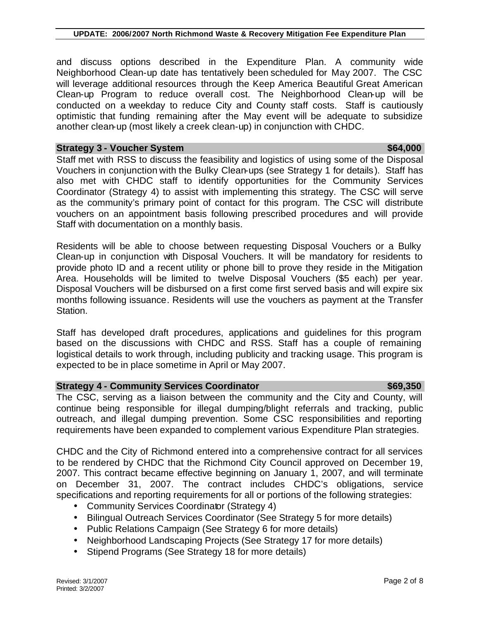and discuss options described in the Expenditure Plan. A community wide Neighborhood Clean-up date has tentatively been scheduled for May 2007. The CSC will leverage additional resources through the Keep America Beautiful Great American Clean-up Program to reduce overall cost. The Neighborhood Clean-up will be conducted on a weekday to reduce City and County staff costs. Staff is cautiously optimistic that funding remaining after the May event will be adequate to subsidize another clean-up (most likely a creek clean-up) in conjunction with CHDC.

### **Strategy 3 - Voucher System \$64,000 \$64,000 \$64,000**

Staff met with RSS to discuss the feasibility and logistics of using some of the Disposal Vouchers in conjunction with the Bulky Clean-ups (see Strategy 1 for details). Staff has also met with CHDC staff to identify opportunities for the Community Services Coordinator (Strategy 4) to assist with implementing this strategy. The CSC will serve as the community's primary point of contact for this program. The CSC will distribute vouchers on an appointment basis following prescribed procedures and will provide Staff with documentation on a monthly basis.

Residents will be able to choose between requesting Disposal Vouchers or a Bulky Clean-up in conjunction with Disposal Vouchers. It will be mandatory for residents to provide photo ID and a recent utility or phone bill to prove they reside in the Mitigation Area. Households will be limited to twelve Disposal Vouchers (\$5 each) per year. Disposal Vouchers will be disbursed on a first come first served basis and will expire six months following issuance. Residents will use the vouchers as payment at the Transfer Station.

Staff has developed draft procedures, applications and guidelines for this program based on the discussions with CHDC and RSS. Staff has a couple of remaining logistical details to work through, including publicity and tracking usage. This program is expected to be in place sometime in April or May 2007.

## **Strategy 4 - Community Services Coordinator**  $$69,350$

The CSC, serving as a liaison between the community and the City and County, will continue being responsible for illegal dumping/blight referrals and tracking, public outreach, and illegal dumping prevention. Some CSC responsibilities and reporting requirements have been expanded to complement various Expenditure Plan strategies.

CHDC and the City of Richmond entered into a comprehensive contract for all services to be rendered by CHDC that the Richmond City Council approved on December 19, 2007. This contract became effective beginning on January 1, 2007, and will terminate on December 31, 2007. The contract includes CHDC's obligations, service specifications and reporting requirements for all or portions of the following strategies:

- Community Services Coordinator (Strategy 4)
- Bilingual Outreach Services Coordinator (See Strategy 5 for more details)
- Public Relations Campaign (See Strategy 6 for more details)
- Neighborhood Landscaping Projects (See Strategy 17 for more details)
- Stipend Programs (See Strategy 18 for more details)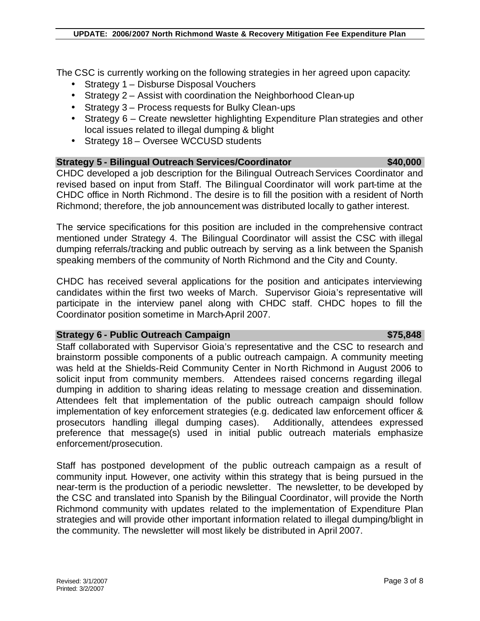The CSC is currently working on the following strategies in her agreed upon capacity:

- Strategy 1 Disburse Disposal Vouchers
- Strategy 2 Assist with coordination the Neighborhood Clean-up
- Strategy 3 Process requests for Bulky Clean-ups
- Strategy 6 Create newsletter highlighting Expenditure Plan strategies and other local issues related to illegal dumping & blight
- Strategy 18 Oversee WCCUSD students

# **Strategy 5 - Bilingual Outreach Services/Coordinator \$40,000**

CHDC developed a job description for the Bilingual Outreach Services Coordinator and revised based on input from Staff. The Bilingual Coordinator will work part-time at the CHDC office in North Richmond. The desire is to fill the position with a resident of North Richmond; therefore, the job announcement was distributed locally to gather interest.

The service specifications for this position are included in the comprehensive contract mentioned under Strategy 4. The Bilingual Coordinator will assist the CSC with illegal dumping referrals/tracking and public outreach by serving as a link between the Spanish speaking members of the community of North Richmond and the City and County.

CHDC has received several applications for the position and anticipates interviewing candidates within the first two weeks of March. Supervisor Gioia's representative will participate in the interview panel along with CHDC staff. CHDC hopes to fill the Coordinator position sometime in March-April 2007.

### **Strategy 6 - Public Outreach Campaign**  $\frac{1}{2}$  **strategy 6 - Public Outreach Campaign**  $\frac{1}{2}$  **strategy 6 - Public Outreach Campaign**

Staff collaborated with Supervisor Gioia's representative and the CSC to research and brainstorm possible components of a public outreach campaign. A community meeting was held at the Shields-Reid Community Center in North Richmond in August 2006 to solicit input from community members. Attendees raised concerns regarding illegal dumping in addition to sharing ideas relating to message creation and dissemination. Attendees felt that implementation of the public outreach campaign should follow implementation of key enforcement strategies (e.g. dedicated law enforcement officer & prosecutors handling illegal dumping cases). Additionally, attendees expressed preference that message(s) used in initial public outreach materials emphasize enforcement/prosecution.

Staff has postponed development of the public outreach campaign as a result of community input. However, one activity within this strategy that is being pursued in the near-term is the production of a periodic newsletter. The newsletter, to be developed by the CSC and translated into Spanish by the Bilingual Coordinator, will provide the North Richmond community with updates related to the implementation of Expenditure Plan strategies and will provide other important information related to illegal dumping/blight in the community. The newsletter will most likely be distributed in April 2007.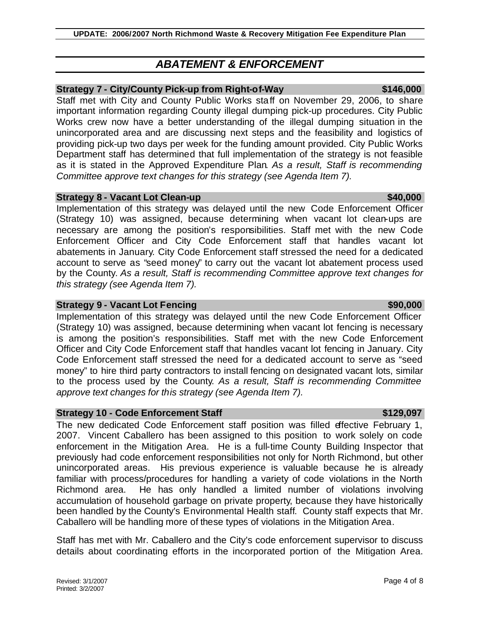# *ABATEMENT & ENFORCEMENT*

## **Strategy 7 - City/County Pick-up from Right-of-Way**  $$146,000$

Staff met with City and County Public Works staff on November 29, 2006, to share important information regarding County illegal dumping pick-up procedures. City Public Works crew now have a better understanding of the illegal dumping situation in the unincorporated area and are discussing next steps and the feasibility and logistics of providing pick-up two days per week for the funding amount provided. City Public Works Department staff has determined that full implementation of the strategy is not feasible as it is stated in the Approved Expenditure Plan. *As a result, Staff is recommending Committee approve text changes for this strategy (see Agenda Item 7).*

### **Strategy 8 - Vacant Lot Clean-up \$40,000 \$40,000 \$40,000**

Implementation of this strategy was delayed until the new Code Enforcement Officer (Strategy 10) was assigned, because determining when vacant lot clean-ups are necessary are among the position's responsibilities. Staff met with the new Code Enforcement Officer and City Code Enforcement staff that handles vacant lot abatements in January. City Code Enforcement staff stressed the need for a dedicated account to serve as "seed money" to carry out the vacant lot abatement process used by the County. *As a result, Staff is recommending Committee approve text changes for this strategy (see Agenda Item 7).*

### **Strategy 9 - Vacant Lot Fencing \$90,000 \$90,000 \$90,000**

Implementation of this strategy was delayed until the new Code Enforcement Officer (Strategy 10) was assigned, because determining when vacant lot fencing is necessary is among the position's responsibilities. Staff met with the new Code Enforcement Officer and City Code Enforcement staff that handles vacant lot fencing in January. City Code Enforcement staff stressed the need for a dedicated account to serve as "seed money" to hire third party contractors to install fencing on designated vacant lots, similar to the process used by the County. *As a result, Staff is recommending Committee approve text changes for this strategy (see Agenda Item 7).*

### **Strategy 10 - Code Enforcement Staff \$129,097**

The new dedicated Code Enforcement staff position was filled effective February 1, 2007. Vincent Caballero has been assigned to this position to work solely on code enforcement in the Mitigation Area. He is a full-time County Building Inspector that previously had code enforcement responsibilities not only for North Richmond, but other unincorporated areas. His previous experience is valuable because he is already familiar with process/procedures for handling a variety of code violations in the North Richmond area. He has only handled a limited number of violations involving accumulation of household garbage on private property, because they have historically been handled by the County's Environmental Health staff. County staff expects that Mr. Caballero will be handling more of these types of violations in the Mitigation Area.

Staff has met with Mr. Caballero and the City's code enforcement supervisor to discuss details about coordinating efforts in the incorporated portion of the Mitigation Area.

### Revised: 3/1/2007 **Page 4 of 8**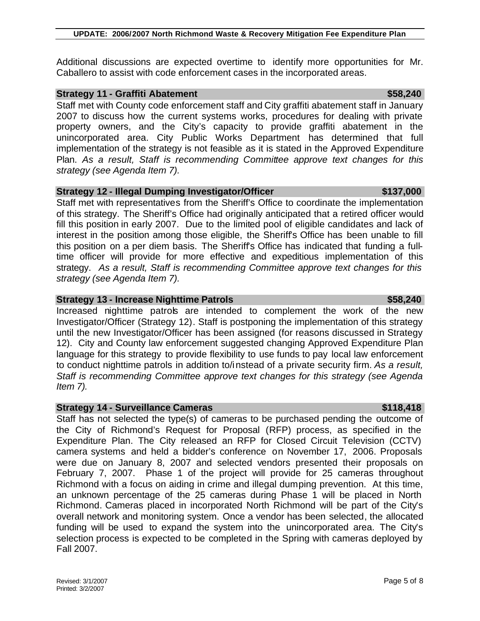Additional discussions are expected overtime to identify more opportunities for Mr. Caballero to assist with code enforcement cases in the incorporated areas.

# **Strategy 11 - Graffiti Abatement** \$58,240

Staff met with County code enforcement staff and City graffiti abatement staff in January 2007 to discuss how the current systems works, procedures for dealing with private property owners, and the City's capacity to provide graffiti abatement in the unincorporated area. City Public Works Department has determined that full implementation of the strategy is not feasible as it is stated in the Approved Expenditure Plan. *As a result, Staff is recommending Committee approve text changes for this strategy (see Agenda Item 7).*

# **Strategy 12 - Illegal Dumping Investigator/Officer \$137,000 \$137,000**

Staff met with representatives from the Sheriff's Office to coordinate the implementation of this strategy. The Sheriff's Office had originally anticipated that a retired officer would fill this position in early 2007. Due to the limited pool of eligible candidates and lack of interest in the position among those eligible, the Sheriff's Office has been unable to fill this position on a per diem basis. The Sheriff's Office has indicated that funding a fulltime officer will provide for more effective and expeditious implementation of this strategy. *As a result, Staff is recommending Committee approve text changes for this strategy (see Agenda Item 7).*

# **Strategy 13 - Increase Nighttime Patrols \$58,240**

Increased nighttime patrols are intended to complement the work of the new Investigator/Officer (Strategy 12). Staff is postponing the implementation of this strategy until the new Investigator/Officer has been assigned (for reasons discussed in Strategy 12). City and County law enforcement suggested changing Approved Expenditure Plan language for this strategy to provide flexibility to use funds to pay local law enforcement to conduct nighttime patrols in addition to/instead of a private security firm. *As a result, Staff is recommending Committee approve text changes for this strategy (see Agenda Item 7).*

# **Strategy 14 - Surveillance Cameras <b>\$118,418** \$118,418

Staff has not selected the type(s) of cameras to be purchased pending the outcome of the City of Richmond's Request for Proposal (RFP) process, as specified in the Expenditure Plan. The City released an RFP for Closed Circuit Television (CCTV) camera systems and held a bidder's conference on November 17, 2006. Proposals were due on January 8, 2007 and selected vendors presented their proposals on February 7, 2007. Phase 1 of the project will provide for 25 cameras throughout Richmond with a focus on aiding in crime and illegal dumping prevention. At this time, an unknown percentage of the 25 cameras during Phase 1 will be placed in North Richmond. Cameras placed in incorporated North Richmond will be part of the City's overall network and monitoring system. Once a vendor has been selected, the allocated funding will be used to expand the system into the unincorporated area. The City's selection process is expected to be completed in the Spring with cameras deployed by Fall 2007.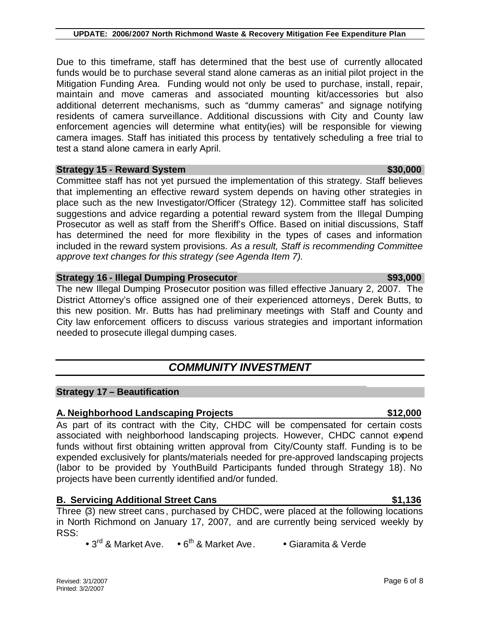Due to this timeframe, staff has determined that the best use of currently allocated funds would be to purchase several stand alone cameras as an initial pilot project in the Mitigation Funding Area. Funding would not only be used to purchase, install, repair, maintain and move cameras and associated mounting kit/accessories but also additional deterrent mechanisms, such as "dummy cameras" and signage notifying residents of camera surveillance. Additional discussions with City and County law enforcement agencies will determine what entity(ies) will be responsible for viewing camera images. Staff has initiated this process by tentatively scheduling a free trial to test a stand alone camera in early April.

**UPDATE: 2006/2007 North Richmond Waste & Recovery Mitigation Fee Expenditure Plan**

### **Strategy 15 - Reward System**  $\sim$  **\$30,000 \$30,000 \$30,000**

Committee staff has not yet pursued the implementation of this strategy. Staff believes that implementing an effective reward system depends on having other strategies in place such as the new Investigator/Officer (Strategy 12). Committee staff has solicited suggestions and advice regarding a potential reward system from the Illegal Dumping Prosecutor as well as staff from the Sheriff's Office. Based on initial discussions, Staff has determined the need for more flexibility in the types of cases and information included in the reward system provisions. *As a result, Staff is recommending Committee approve text changes for this strategy (see Agenda Item 7).*

### **Strategy 16 - Illegal Dumping Prosecutor \$93,000**

The new Illegal Dumping Prosecutor position was filled effective January 2, 2007. The District Attorney's office assigned one of their experienced attorneys, Derek Butts, to this new position. Mr. Butts has had preliminary meetings with Staff and County and City law enforcement officers to discuss various strategies and important information needed to prosecute illegal dumping cases.

# *COMMUNITY INVESTMENT*

### **Strategy 17 – Beautification**

### **A. Neighborhood Landscaping Projects \$12,000**

As part of its contract with the City, CHDC will be compensated for certain costs associated with neighborhood landscaping projects. However, CHDC cannot expend funds without first obtaining written approval from City/County staff. Funding is to be expended exclusively for plants/materials needed for pre-approved landscaping projects (labor to be provided by YouthBuild Participants funded through Strategy 18). No projects have been currently identified and/or funded.

### **B. Servicing Additional Street Cans 6. Community 1.136**

Three (3) new street cans, purchased by CHDC, were placed at the following locations in North Richmond on January 17, 2007, and are currently being serviced weekly by RSS:

• 3<sup>rd</sup> & Market Ave. • 6<sup>th</sup> & Market Ave. • Giaramita & Verde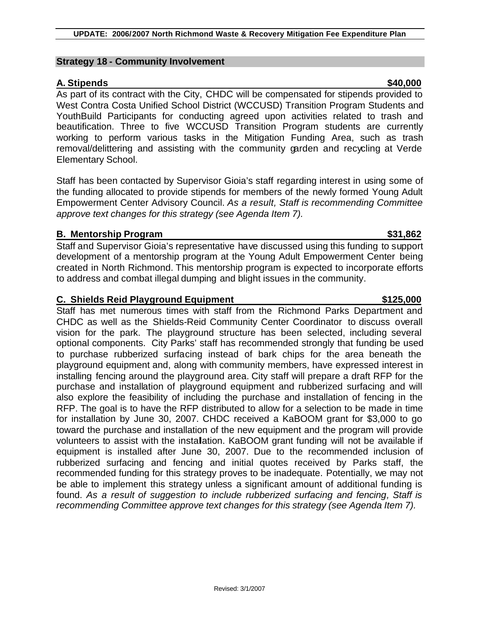### **Strategy 18 - Community Involvement**

## **A. Stipends \$40,000**

As part of its contract with the City, CHDC will be compensated for stipends provided to West Contra Costa Unified School District (WCCUSD) Transition Program Students and YouthBuild Participants for conducting agreed upon activities related to trash and beautification. Three to five WCCUSD Transition Program students are currently working to perform various tasks in the Mitigation Funding Area, such as trash removal/delittering and assisting with the community garden and recycling at Verde Elementary School.

Staff has been contacted by Supervisor Gioia's staff regarding interest in using some of the funding allocated to provide stipends for members of the newly formed Young Adult Empowerment Center Advisory Council. *As a result, Staff is recommending Committee approve text changes for this strategy (see Agenda Item 7).*

### **B. Mentorship Program \$31,862**

Staff and Supervisor Gioia's representative have discussed using this funding to support development of a mentorship program at the Young Adult Empowerment Center being created in North Richmond. This mentorship program is expected to incorporate efforts to address and combat illegal dumping and blight issues in the community.

### **C. Shields Reid Playground Equipment 6. Shields Reid Playground Equipment 6. Shields Australian Communist Communist Communist Communist Communist Communist Communist Communist Communist Communist Communist Communist Commu**

Staff has met numerous times with staff from the Richmond Parks Department and CHDC as well as the Shields-Reid Community Center Coordinator to discuss overall vision for the park. The playground structure has been selected, including several optional components. City Parks' staff has recommended strongly that funding be used to purchase rubberized surfacing instead of bark chips for the area beneath the playground equipment and, along with community members, have expressed interest in installing fencing around the playground area. City staff will prepare a draft RFP for the purchase and installation of playground equipment and rubberized surfacing and will also explore the feasibility of including the purchase and installation of fencing in the RFP. The goal is to have the RFP distributed to allow for a selection to be made in time for installation by June 30, 2007. CHDC received a KaBOOM grant for \$3,000 to go toward the purchase and installation of the new equipment and the program will provide volunteers to assist with the installation. KaBOOM grant funding will not be available if equipment is installed after June 30, 2007. Due to the recommended inclusion of rubberized surfacing and fencing and initial quotes received by Parks staff, the recommended funding for this strategy proves to be inadequate. Potentially, we may not be able to implement this strategy unless a significant amount of additional funding is found. *As a result of suggestion to include rubberized surfacing and fencing, Staff is recommending Committee approve text changes for this strategy (see Agenda Item 7).*

Revised: 3/1/2007